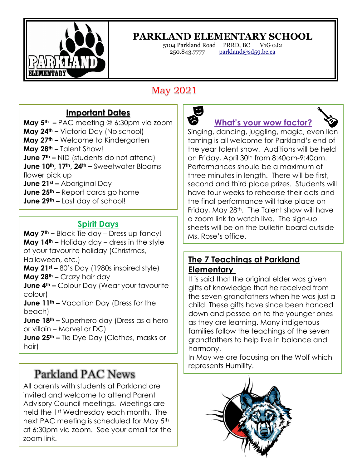

 $\overline{a}$ 

## **PARKLAND ELEMENTARY SCHOOL**

250.843.7777 parkland@sd59.bc.ca

5104 Parkland Road PRRD, BC V1G 0J2

# May 2021

### **Important Dates**

**May 5th –** PAC meeting @ 6:30pm via zoom **May 24th –** Victoria Day (No school) **May 27th –** Welcome to Kindergarten **May 28th –** Talent Show! **June 7<sup>th</sup> –** NID (students do not attend) **June 10th, 17th, 24th –** Sweetwater Blooms flower pick up **June 21st –** Aboriginal Day **June 25th –** Report cards go home **June 29th –** Last day of school!

#### **Spirit Days**

**May 7th –** Black Tie day – Dress up fancy! **May 14th –** Holiday day – dress in the style of your favourite holiday (Christmas, Halloween, etc.)

**May 21st –** 80's Day (1980s inspired style) **May 28th –** Crazy hair day

**June 4th –** Colour Day (Wear your favourite colour)

**June 11th –** Vacation Day (Dress for the beach)

**June 18th –** Superhero day (Dress as a hero or villain – Marvel or DC)

**June 25th –** Tie Dye Day (Clothes, masks or hair)

# Parkland PAC News

All parents with students at Parkland are invited and welcome to attend Parent Advisory Council meetings. Meetings are held the 1st Wednesday each month. The next PAC meeting is scheduled for May 5<sup>th</sup> at 6:30pm via zoom. See your email for the zoom link.



**What's your wow factor?**

Singing, dancing, juggling, magic, even lion taming is all welcome for Parkland's end of the year talent show. Auditions will be held on Friday, April 30th from 8:40am-9:40am. Performances should be a maximum of three minutes in length. There will be first, second and third place prizes. Students will have four weeks to rehearse their acts and the final performance will take place on Friday, May 28<sup>th</sup>. The Talent show will have a zoom link to watch live. The sign-up sheets will be on the bulletin board outside Ms. Rose's office.

#### **The 7 Teachings at Parkland Elementary**

It is said that the original elder was given gifts of knowledge that he received from the seven grandfathers when he was just a child. These gifts have since been handed down and passed on to the younger ones as they are learning. Many indigenous families follow the teachings of the seven grandfathers to help live in balance and harmony.

In May we are focusing on the Wolf which represents Humility.